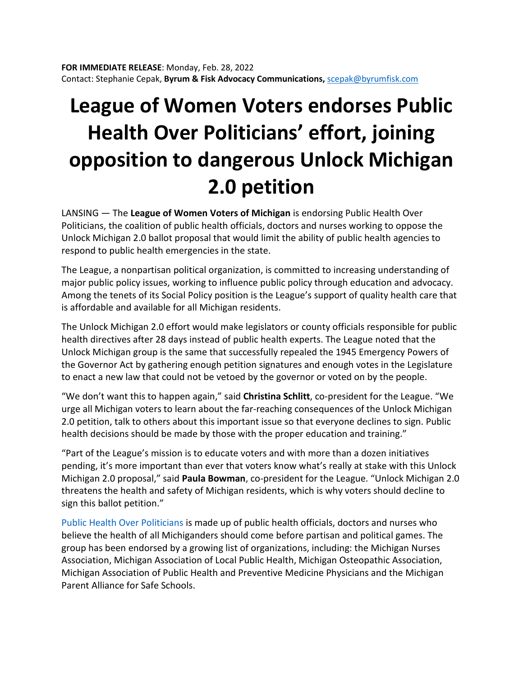## **League of Women Voters endorses Public Health Over Politicians' effort, joining opposition to dangerous Unlock Michigan 2.0 petition**

LANSING — The **League of Women Voters of Michigan** is endorsing Public Health Over Politicians, the coalition of public health officials, doctors and nurses working to oppose the Unlock Michigan 2.0 ballot proposal that would limit the ability of public health agencies to respond to public health emergencies in the state.

The League, a nonpartisan political organization, is committed to increasing understanding of major public policy issues, working to influence public policy through education and advocacy. Among the tenets of its Social Policy position is the League's support of quality health care that is affordable and available for all Michigan residents.

The Unlock Michigan 2.0 effort would make legislators or county officials responsible for public health directives after 28 days instead of public health experts. The League noted that the Unlock Michigan group is the same that successfully repealed the 1945 Emergency Powers of the Governor Act by gathering enough petition signatures and enough votes in the Legislature to enact a new law that could not be vetoed by the governor or voted on by the people.

"We don't want this to happen again," said **Christina Schlitt**, co-president for the League. "We urge all Michigan voters to learn about the far-reaching consequences of the Unlock Michigan 2.0 petition, talk to others about this important issue so that everyone declines to sign. Public health decisions should be made by those with the proper education and training."

"Part of the League's mission is to educate voters and with more than a dozen initiatives pending, it's more important than ever that voters know what's really at stake with this Unlock Michigan 2.0 proposal," said **Paula Bowman**, co-president for the League. "Unlock Michigan 2.0 threatens the health and safety of Michigan residents, which is why voters should decline to sign this ballot petition."

[Public Health Over Politicians](https://publichealthoverpoliticians.org/) is made up of public health officials, doctors and nurses who believe the health of all Michiganders should come before partisan and political games. The group has been endorsed by a growing list of organizations, including: the Michigan Nurses Association, Michigan Association of Local Public Health, Michigan Osteopathic Association, Michigan Association of Public Health and Preventive Medicine Physicians and the Michigan Parent Alliance for Safe Schools.